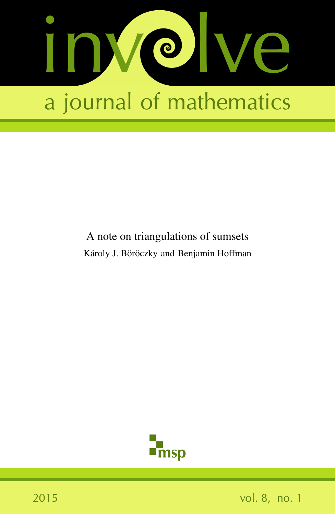

# A note on triangulations of sumsets Károly J. Böröczky and Benjamin Hoffman

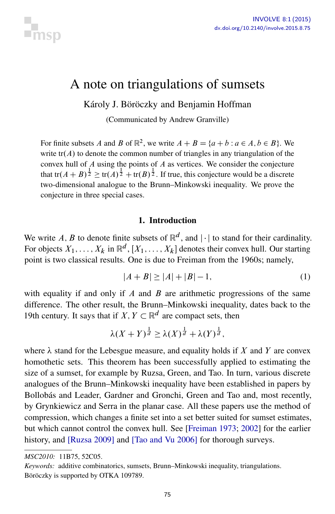

# A note on triangulations of sumsets

Károly J. Böröczky and Benjamin Hoffman

(Communicated by Andrew Granville)

For finite subsets A and B of  $\mathbb{R}^2$ , we write  $A + B = \{a + b : a \in A, b \in B\}$ . We write  $tr(A)$  to denote the common number of triangles in any triangulation of the convex hull of A using the points of A as vertices. We consider the conjecture that tr $(A + B)^{\frac{1}{2}} \ge \text{tr}(A)^{\frac{1}{2}} + \text{tr}(B)^{\frac{1}{2}}$ . If true, this conjecture would be a discrete two-dimensional analogue to the Brunn–Minkowski inequality. We prove the conjecture in three special cases.

## <span id="page-1-0"></span>1. Introduction

We write A, B to denote finite subsets of  $\mathbb{R}^d$ , and  $|\cdot|$  to stand for their cardinality. For objects  $X_1, \ldots, X_k$  in  $\mathbb{R}^d$ ,  $[X_1, \ldots, X_k]$  denotes their convex hull. Our starting point is two classical results. One is due to Freiman from the 1960s; namely,

$$
|A + B| \ge |A| + |B| - 1,\tag{1}
$$

with equality if and only if  $A$  and  $B$  are arithmetic progressions of the same difference. The other result, the Brunn–Minkowski inequality, dates back to the 19th century. It says that if  $X, Y \subset \mathbb{R}^d$  are compact sets, then

$$
\lambda(X+Y)^{\frac{1}{d}} \ge \lambda(X)^{\frac{1}{d}} + \lambda(Y)^{\frac{1}{d}},
$$

where  $\lambda$  stand for the Lebesgue measure, and equality holds if X and Y are convex homothetic sets. This theorem has been successfully applied to estimating the size of a sumset, for example by Ruzsa, Green, and Tao. In turn, various discrete analogues of the Brunn–Minkowski inequality have been established in papers by Bollobás and Leader, Gardner and Gronchi, Green and Tao and, most recently, by Grynkiewicz and Serra in the planar case. All these papers use the method of compression, which changes a finite set into a set better suited for sumset estimates, but which cannot control the convex hull. See [\[Freiman 1973;](#page-11-0) [2002\]](#page-11-1) for the earlier history, and [\[Ruzsa 2009\]](#page-11-2) and [\[Tao and Vu 2006\]](#page-11-3) for thorough surveys.

*MSC2010:* 11B75, 52C05.

*Keywords:* additive combinatorics, sumsets, Brunn–Minkowski inequality, triangulations. Böröczky is supported by OTKA 109789.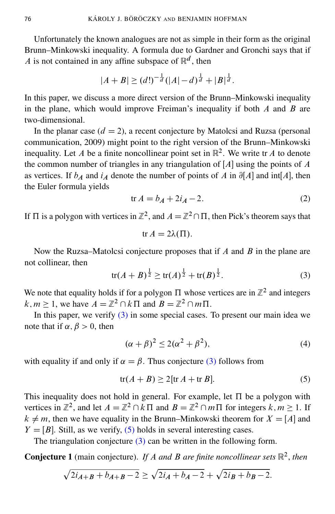Unfortunately the known analogues are not as simple in their form as the original Brunn–Minkowski inequality. A formula due to Gardner and Gronchi says that if A is not contained in any affine subspace of  $\mathbb{R}^d$ , then

$$
|A + B| \ge (d!)^{-\frac{1}{d}} (|A| - d)^{\frac{1}{d}} + |B|^{\frac{1}{d}}.
$$

In this paper, we discuss a more direct version of the Brunn–Minkowski inequality in the plane, which would improve Freiman's inequality if both  $A$  and  $B$  are two-dimensional.

In the planar case  $(d = 2)$ , a recent conjecture by Matolcsi and Ruzsa (personal communication, 2009) might point to the right version of the Brunn–Minkowski inequality. Let A be a finite noncollinear point set in  $\mathbb{R}^2$ . We write tr A to denote the common number of triangles in any triangulation of  $[A]$  using the points of A as vertices. If  $b_A$  and  $i_A$  denote the number of points of A in  $\partial[A]$  and int[A], then the Euler formula yields

$$
\text{tr}\,A = b_A + 2i_A - 2.\tag{2}
$$

If  $\Pi$  is a polygon with vertices in  $\mathbb{Z}^2$ , and  $A = \mathbb{Z}^2 \cap \Pi$ , then Pick's theorem says that

$$
tr A = 2\lambda(\Pi).
$$

Now the Ruzsa–Matolcsi conjecture proposes that if  $A$  and  $B$  in the plane are not collinear, then

<span id="page-2-0"></span>
$$
\operatorname{tr}(A+B)^{\frac{1}{2}} \ge \operatorname{tr}(A)^{\frac{1}{2}} + \operatorname{tr}(B)^{\frac{1}{2}}.
$$
 (3)

We note that equality holds if for a polygon  $\Pi$  whose vertices are in  $\mathbb{Z}^2$  and integers  $k, m \ge 1$ , we have  $A = \mathbb{Z}^2 \cap k \Pi$  and  $B = \mathbb{Z}^2 \cap m \Pi$ .

In this paper, we verify [\(3\)](#page-2-0) in some special cases. To present our main idea we note that if  $\alpha, \beta > 0$ , then

<span id="page-2-1"></span>
$$
(\alpha + \beta)^2 \le 2(\alpha^2 + \beta^2),\tag{4}
$$

with equality if and only if  $\alpha = \beta$ . Thus conjecture [\(3\)](#page-2-0) follows from

$$
\text{tr}(A+B) \ge 2[\text{tr }A+\text{tr }B].\tag{5}
$$

This inequality does not hold in general. For example, let  $\Pi$  be a polygon with vertices in  $\mathbb{Z}^2$ , and let  $A = \mathbb{Z}^2 \cap k \Pi$  and  $B = \mathbb{Z}^2 \cap m \Pi$  for integers  $k, m \ge 1$ . If  $k \neq m$ , then we have equality in the Brunn–Minkowski theorem for  $X = [A]$  and  $Y = [B]$ . Still, as we verify, [\(5\)](#page-2-1) holds in several interesting cases.

The triangulation conjecture [\(3\)](#page-2-0) can be written in the following form.

<span id="page-2-2"></span>**Conjecture 1** (main conjecture). If A and B are finite noncollinear sets  $\mathbb{R}^2$ , then

$$
\sqrt{2i_{A+B} + b_{A+B} - 2} \ge \sqrt{2i_A + b_A - 2} + \sqrt{2i_B + b_B - 2}.
$$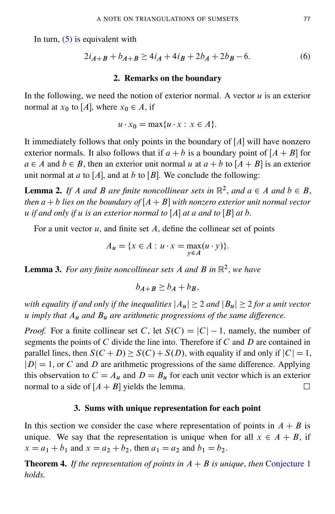In turn,  $(5)$  is equivalent with

$$
2i_{A+B} + b_{A+B} \ge 4i_A + 4i_B + 2b_A + 2b_B - 6. \tag{6}
$$

#### <span id="page-3-1"></span>2. Remarks on the boundary

In the following, we need the notion of exterior normal. A vector  $u$  is an exterior normal at  $x_0$  to [A], where  $x_0 \in A$ , if

$$
u \cdot x_0 = \max\{u \cdot x : x \in A\}.
$$

It immediately follows that only points in the boundary of  $[A]$  will have nonzero exterior normals. It also follows that if  $a + b$  is a boundary point of  $[A + B]$  for  $a \in A$  and  $b \in B$ , then an exterior unit normal u at  $a + b$  to  $[A + B]$  is an exterior unit normal at a to [A], and at b to [B]. We conclude the following:

<span id="page-3-2"></span>**Lemma 2.** If A and B are finite noncollinear sets in  $\mathbb{R}^2$ , and  $a \in A$  and  $b \in B$ , *then*  $a + b$  *lies* on the boundary of  $[A + B]$  with nonzero exterior unit normal vector *u* if and only if u is an exterior normal to  $[A]$  at a and to  $[B]$  at b.

For a unit vector  $u$ , and finite set  $A$ , define the collinear set of points

$$
A_u = \{x \in A : u \cdot x = \max_{y \in A} (u \cdot y)\}.
$$

<span id="page-3-0"></span>Lemma 3. *For any finite noncollinear sets* A *and* B *in* R 2 , *we have*

$$
b_{A+B} \ge b_A + b_B,
$$

*with equality if and only if the inequalities*  $|A_u| \geq 2$  *and*  $|B_u| \geq 2$  *for a unit vector* u *imply that* A<sup>u</sup> *and* B<sup>u</sup> *are arithmetic progressions of the same difference.*

*Proof.* For a finite collinear set C, let  $S(C) = |C| - 1$ , namely, the number of segments the points of C divide the line into. Therefore if C and D are contained in parallel lines, then  $S(C+D) \geq S(C) + S(D)$ , with equality if and only if  $|C| = 1$ ,  $|D| = 1$ , or C and D are arithmetic progressions of the same difference. Applying this observation to  $C = A_u$  and  $D = B_u$  for each unit vector which is an exterior normal to a side of  $[A + B]$  yields the lemma.

### 3. Sums with unique representation for each point

In this section we consider the case where representation of points in  $A + B$  is unique. We say that the representation is unique when for all  $x \in A + B$ , if  $x = a_1 + b_1$  and  $x = a_2 + b_2$ , then  $a_1 = a_2$  and  $b_1 = b_2$ .

**Theorem 4.** *If the representation of points in*  $A + B$  *is unique, then* [Conjecture 1](#page-2-2) *holds.*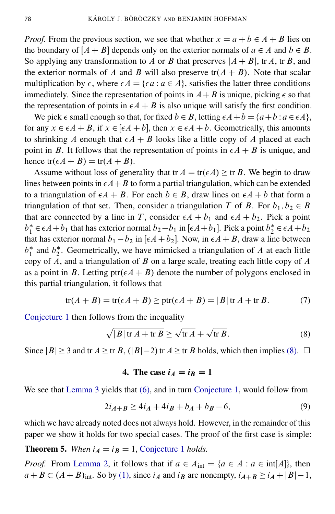*Proof.* From the previous section, we see that whether  $x = a + b \in A + B$  lies on the boundary of  $[A + B]$  depends only on the exterior normals of  $a \in A$  and  $b \in B$ . So applying any transformation to A or B that preserves  $|A + B|$ , tr A, tr B, and the exterior normals of A and B will also preserve  $tr(A + B)$ . Note that scalar multiplication by  $\epsilon$ , where  $\epsilon A = {\epsilon a : a \in A}$ , satisfies the latter three conditions immediately. Since the representation of points in  $A+B$  is unique, picking  $\epsilon$  so that the representation of points in  $\epsilon A + B$  is also unique will satisfy the first condition.

We pick  $\epsilon$  small enough so that, for fixed  $b \in B$ , letting  $\epsilon A + b = \{a+b : a \in \epsilon A\}$ , for any  $x \in \epsilon A + B$ , if  $x \in [\epsilon A + b]$ , then  $x \in \epsilon A + b$ . Geometrically, this amounts to shrinking A enough that  $\epsilon A + B$  looks like a little copy of A placed at each point in B. It follows that the representation of points in  $\epsilon A + B$  is unique, and hence  $tr(\epsilon A + B) = tr(A + B)$ .

Assume without loss of generality that tr  $A = \text{tr}(\epsilon A) \geq \text{tr } B$ . We begin to draw lines between points in  $\epsilon A+B$  to form a partial triangulation, which can be extended to a triangulation of  $\epsilon A + B$ . For each  $b \in B$ , draw lines on  $\epsilon A + b$  that form a triangulation of that set. Then, consider a triangulation T of B. For  $b_1, b_2 \in B$ that are connected by a line in T, consider  $\epsilon A + b_1$  and  $\epsilon A + b_2$ . Pick a point  $b_1^*$  $i_1^* \in \epsilon A + b_1$  that has exterior normal  $b_2 - b_1$  in  $[\epsilon A + b_1]$ . Pick a point  $b_2^*$  $a^*_{2} \in \epsilon A + b_2$ that has exterior normal  $b_1 - b_2$  in [ $\epsilon A + b_2$ ]. Now, in  $\epsilon A + B$ , draw a line between  $b_1^*$  $i<sub>1</sub><sup>*</sup>$  and  $b<sub>2</sub><sup>*</sup>$  $*$ . Geometrically, we have mimicked a triangulation of  $A$  at each little copy of  $A$ , and a triangulation of  $B$  on a large scale, treating each little copy of  $A$ as a point in B. Letting  $ptr(\epsilon A + B)$  denote the number of polygons enclosed in this partial triangulation, it follows that

$$
tr(A + B) = tr(\epsilon A + B) \geq ptr(\epsilon A + B) = |B| tr A + tr B.
$$
 (7)

[Conjecture 1](#page-2-2) then follows from the inequality

<span id="page-4-0"></span>
$$
\sqrt{|B| \operatorname{tr} A + \operatorname{tr} B} \ge \sqrt{\operatorname{tr} A} + \sqrt{\operatorname{tr} B}.
$$
 (8)

Since  $|B| \ge 3$  and tr  $A \ge \text{tr } B$ ,  $(|B|-2)$  tr  $A \ge \text{tr } B$  holds, which then implies [\(8\).](#page-4-0)  $\Box$ 

## <span id="page-4-1"></span>4. The case  $i_A = i_B = 1$

We see that [Lemma 3](#page-3-0) yields that [\(6\),](#page-3-1) and in turn [Conjecture 1,](#page-2-2) would follow from

$$
2i_{A+B} \ge 4i_A + 4i_B + b_A + b_B - 6,\tag{9}
$$

which we have already noted does not always hold. However, in the remainder of this paper we show it holds for two special cases. The proof of the first case is simple:

#### **Theorem 5.** When  $i_A = i_B = 1$ , [Conjecture 1](#page-2-2) *holds.*

*Proof.* From [Lemma 2,](#page-3-2) it follows that if  $a \in A_{int} = \{a \in A : a \in int[A]\}$ , then  $a+B \subset (A+B)_{\text{int}}$ . So by [\(1\),](#page-1-0) since  $i_A$  and  $i_B$  are nonempty,  $i_{A+B} \ge i_A + |B|-1$ ,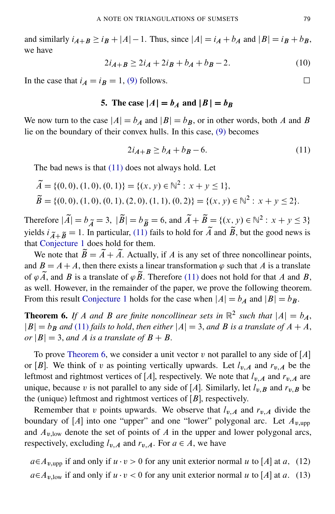and similarly  $i_{A+B} \ge i_B + |A| - 1$ . Thus, since  $|A| = i_A + i_A$  and  $|B| = i_B + i_B$ , we have

$$
2i_{A+B} \ge 2i_A + 2i_B + b_A + b_B - 2. \tag{10}
$$

In the case that  $i_A = i_B = 1$ , [\(9\)](#page-4-1) follows.

## 5. The case  $|A| = b_A$  and  $|B| = b_B$

We now turn to the case  $|A| = b_A$  and  $|B| = b_B$ , or in other words, both A and B lie on the boundary of their convex hulls. In this case, [\(9\)](#page-4-1) becomes

$$
2i_{A+B} \ge b_A + b_B - 6. \tag{11}
$$

The bad news is that  $(11)$  does not always hold. Let

$$
\widetilde{A} = \{ (0,0), (1,0), (0,1) \} = \{ (x, y) \in \mathbb{N}^2 : x + y \le 1 \},
$$
  
\n
$$
\widetilde{B} = \{ (0,0), (1,0), (0,1), (2,0), (1,1), (0,2) \} = \{ (x, y) \in \mathbb{N}^2 : x + y \le 2 \}.
$$

Therefore  $|\tilde{A}| = b_{\tilde{A}} = 3$ ,  $|\tilde{B}| = b_{\tilde{B}} = 6$ , and  $\tilde{A} + \tilde{B} = \{(x, y) \in \mathbb{N}^2 : x + y \le 3\}$ yields  $i_{\tilde{A}+\tilde{B}} = 1$ . In particular, [\(11\)](#page-5-0) fails to hold for  $\tilde{A}$  and  $\tilde{B}$ , but the good news is that [Conjecture 1](#page-2-2) does hold for them.

We note that  $\widetilde{B} = \widetilde{A} + \widetilde{A}$ . Actually, if A is any set of three noncollinear points, and  $B = A + A$ , then there exists a linear transformation  $\varphi$  such that A is a translate of  $\varphi \widetilde{A}$ , and B is a translate of  $\varphi \widetilde{B}$ . Therefore [\(11\)](#page-5-0) does not hold for that A and B, as well. However, in the remainder of the paper, we prove the following theorem. From this result [Conjecture 1](#page-2-2) holds for the case when  $|A| = b_A$  and  $|B| = b_B$ .

<span id="page-5-1"></span>**Theorem 6.** If A and B are finite noncollinear sets in  $\mathbb{R}^2$  such that  $|A| = b_A$ ,  $|B| = b_B$  and [\(11\)](#page-5-0) *fails to hold, then either*  $|A| = 3$ , *and* B *is a translate of*  $A + A$ ,  $or$   $|B| = 3$ , *and* A *is a translate of*  $B + B$ .

To prove [Theorem 6,](#page-5-1) we consider a unit vector v not parallel to any side of  $[A]$ or [B]. We think of v as pointing vertically upwards. Let  $l_{v,A}$  and  $r_{v,A}$  be the leftmost and rightmost vertices of [A], respectively. We note that  $l_{v,A}$  and  $r_{v,A}$  are unique, because v is not parallel to any side of [A]. Similarly, let  $l_{v,B}$  and  $r_{v,B}$  be the (unique) leftmost and rightmost vertices of  $[B]$ , respectively.

Remember that v points upwards. We observe that  $l_{v,A}$  and  $r_{v,A}$  divide the boundary of [A] into one "upper" and one "lower" polygonal arc. Let  $A_{v,\text{upp}}$ and  $A_{\nu,low}$  denote the set of points of A in the upper and lower polygonal arcs, respectively, excluding  $l_{v,A}$  and  $r_{v,A}$ . For  $a \in A$ , we have

<span id="page-5-3"></span><span id="page-5-2"></span> $a \in A_{v,\text{uop}}$  if and only if  $u \cdot v > 0$  for any unit exterior normal u to [A] at a, (12)  $a \in A_{\nu, \text{low}}$  if and only if  $u \cdot v < 0$  for any unit exterior normal u to [A] at a. (13)

<span id="page-5-0"></span>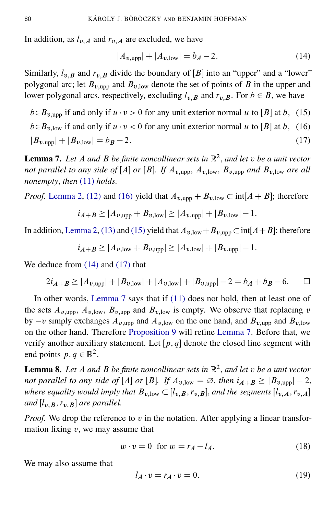In addition, as  $l_{v,A}$  and  $r_{v,A}$  are excluded, we have

<span id="page-6-3"></span><span id="page-6-2"></span><span id="page-6-1"></span><span id="page-6-0"></span>
$$
|A_{v,\text{upp}}| + |A_{v,\text{low}}| = b_A - 2. \tag{14}
$$

Similarly,  $l_{v,B}$  and  $r_{v,B}$  divide the boundary of [B] into an "upper" and a "lower" polygonal arc; let  $B_{v,\text{upp}}$  and  $B_{v,\text{low}}$  denote the set of points of B in the upper and lower polygonal arcs, respectively, excluding  $l_{v,B}$  and  $r_{v,B}$ . For  $b \in B$ , we have

 $b \in B_{\nu,\text{uop}}$  if and only if  $u \cdot v > 0$  for any unit exterior normal u to [B] at b, (15)  $b \in B_{v,low}$  if and only if  $u \cdot v < 0$  for any unit exterior normal u to [B] at b, (16)  $|B_{v,\text{upp}}| + |B_{v,\text{low}}| = b_B - 2.$  (17)

<span id="page-6-4"></span>Lemma 7. *Let* A *and* B *be finite noncollinear sets in* R 2 , *and let* v *be a unit vector not parallel to any side of* [A] *or* [B]. If  $A_{v,\text{urop}}$ ,  $A_{v,\text{low}}$ ,  $B_{v,\text{urop}}$  *and*  $B_{v,\text{low}}$  *are all nonempty*, *then* [\(11\)](#page-5-0) *holds.*

*Proof.* [Lemma 2,](#page-3-2) [\(12\)](#page-5-2) and [\(16\)](#page-6-0) yield that  $A_{v,upp} + B_{v,low} \subset \text{int}[A + B]$ ; therefore

$$
i_{A+B} \ge |A_{v,\text{upp}} + B_{v,\text{low}}| \ge |A_{v,\text{upp}}| + |B_{v,\text{low}}| - 1.
$$

In addition, [Lemma 2,](#page-3-2) [\(13\)](#page-5-3) and [\(15\)](#page-6-1) yield that  $A_{v,low} + B_{v,upp} \subset \text{int}[A+B]$ ; therefore

$$
i_{A+B} \ge |A_{v,low} + B_{v,upp}| \ge |A_{v,low}| + |B_{v,upp}| - 1.
$$

We deduce from [\(14\)](#page-6-2) and [\(17\)](#page-6-3) that

$$
2i_{A+B} \ge |A_{v,\text{upp}}| + |B_{v,\text{low}}| + |A_{v,\text{low}}| + |B_{v,\text{upp}}| - 2 = b_A + b_B - 6. \qquad \Box
$$

In other words, [Lemma 7](#page-6-4) says that if [\(11\)](#page-5-0) does not hold, then at least one of the sets  $A_{v,\text{upp}}$ ,  $A_{v,\text{low}}$ ,  $B_{v,\text{upp}}$  and  $B_{v,\text{low}}$  is empty. We observe that replacing v by  $-v$  simply exchanges  $A_{v,\text{uop}}$  and  $A_{v,\text{low}}$  on the one hand, and  $B_{v,\text{uop}}$  and  $B_{v,\text{low}}$ on the other hand. Therefore [Proposition 9](#page-8-0) will refine [Lemma 7.](#page-6-4) Before that, we verify another auxiliary statement. Let  $[p, q]$  denote the closed line segment with end points  $p, q \in \mathbb{R}^2$ .

<span id="page-6-6"></span>Lemma 8. *Let* A *and* B *be finite noncollinear sets in* R 2 , *and let* v *be a unit vector not parallel to any side of* [A] *or* [B]. If  $A_{v,low} = \emptyset$ , *then*  $i_{A+B} \ge |B_{v,upp}| - 2$ , *where equality would imply that*  $B_{v,low} \subset [l_{v,B}, r_{v,B}]$ *, and the segments*  $[l_{v,A}, r_{v,A}]$ *and*  $[l_{v,B}, r_{v,B}]$  *are parallel.* 

*Proof.* We drop the reference to v in the notation. After applying a linear transformation fixing  $v$ , we may assume that

<span id="page-6-7"></span><span id="page-6-5"></span>
$$
w \cdot v = 0 \quad \text{for } w = r_A - l_A. \tag{18}
$$

We may also assume that

$$
l_A \cdot v = r_A \cdot v = 0. \tag{19}
$$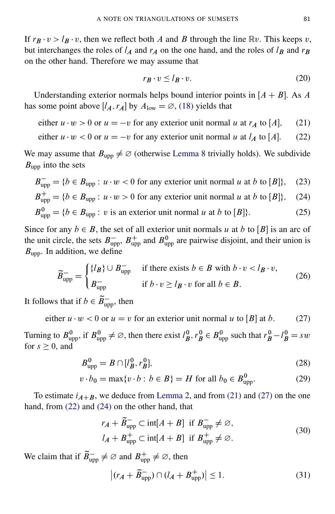If  $r_B \cdot v > l_B \cdot v$ , then we reflect both A and B through the line  $\mathbb{R}v$ . This keeps v, but interchanges the roles of  $l_A$  and  $r_A$  on the one hand, and the roles of  $l_B$  and  $r_B$ on the other hand. Therefore we may assume that

<span id="page-7-7"></span><span id="page-7-3"></span><span id="page-7-2"></span><span id="page-7-0"></span>
$$
r_B \cdot v \le l_B \cdot v. \tag{20}
$$

Understanding exterior normals helps bound interior points in  $[A + B]$ . As A has some point above  $[I_A, r_A]$  by  $A_{\text{low}} = \emptyset$ , [\(18\)](#page-6-5) yields that

either  $u \cdot w > 0$  or  $u = -v$  for any exterior unit normal u at  $r_A$  to [A], (21)

either  $u \cdot w < 0$  or  $u = -v$  for any exterior unit normal u at  $l_A$  to [A]. (22)

We may assume that  $B_{\text{upp}} \neq \emptyset$  (otherwise [Lemma 8](#page-6-6) trivially holds). We subdivide  $B_{\text{upp}}$  into the sets

$$
B_{\text{upp}}^{-} = \{b \in B_{\text{upp}} : u \cdot w < 0 \text{ for any exterior unit normal } u \text{ at } b \text{ to } [B] \}, \quad (23)
$$
\n
$$
B_{\text{upp}}^{+} = \{b \in B_{\text{upp}} : u \cdot w > 0 \text{ for any exterior unit normal } u \text{ at } b \text{ to } [B] \}, \quad (24)
$$
\n
$$
B_{\text{upp}}^{0} = \{b \in B_{\text{upp}} : v \text{ is an exterior unit normal } u \text{ at } b \text{ to } [B] \}. \quad (25)
$$

Since for any  $b \in B$ , the set of all exterior unit normals u at b to [B] is an arc of the unit circle, the sets  $B_{\text{upp}}^+$ ,  $B_{\text{upp}}^+$  and  $B_{\text{upp}}^0$  are pairwise disjoint, and their union is  $B_{\text{upp}}$ . In addition, we define

<span id="page-7-8"></span><span id="page-7-1"></span>
$$
\widetilde{B}_{\text{upp}}^{-} = \begin{cases} \{l_B\} \cup B_{\text{upp}}^{-} & \text{if there exists } b \in B \text{ with } b \cdot v < l_B \cdot v, \\ B_{\text{upp}}^{-} & \text{if } b \cdot v \ge l_B \cdot v \text{ for all } b \in B. \end{cases} \tag{26}
$$

It follows that if  $b \in \widetilde{B}^-_{\text{upp}}$ , then

either  $u \cdot w < 0$  or  $u = v$  for an exterior unit normal u to [B] at b. (27)

Turning to  $B^0_{\text{upp}}$ , if  $B^0_{\text{upp}} \neq \emptyset$ , then there exist  $l^0_B, r^0_B \in B^0_{\text{upp}}$  such that  $r^0_B - l^0_B = sw$ for  $s \geq 0$ , and

$$
B_{\rm upp}^{0} = B \cap [l_B^0, r_B^0],\tag{28}
$$

$$
v \cdot b_0 = \max\{v \cdot b : b \in B\} = H \text{ for all } b_0 \in B_{\text{upp}}^0.
$$
 (29)

To estimate  $i_{A+B}$ , we deduce from [Lemma 2,](#page-3-2) and from [\(21\)](#page-7-0) and [\(27\)](#page-7-1) on the one hand, from [\(22\)](#page-7-2) and [\(24\)](#page-7-3) on the other hand, that

<span id="page-7-6"></span><span id="page-7-5"></span>
$$
r_A + \widetilde{B}_{\text{upp}}^- \subset \text{int}[A + B] \text{ if } B_{\text{upp}}^- \neq \varnothing,
$$
  

$$
l_A + B_{\text{upp}}^+ \subset \text{int}[A + B] \text{ if } B_{\text{upp}}^+ \neq \varnothing.
$$
 (30)

We claim that if  $\widetilde{B}^-_{\text{upp}} \neq \varnothing$  and  $B^+_{\text{upp}} \neq \varnothing$ , then

<span id="page-7-4"></span>
$$
\left| (r_A + \widetilde{B}_{\text{upp}}^-) \cap (l_A + B_{\text{upp}}^+) \right| \le 1. \tag{31}
$$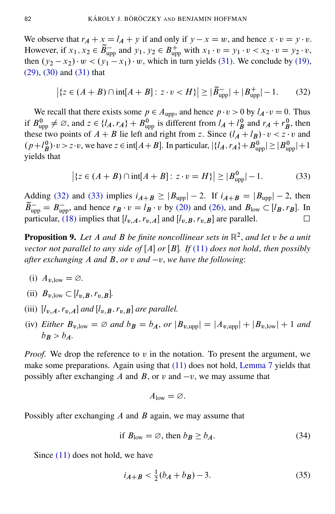We observe that  $r_A + x = l_A + y$  if and only if  $y - x = w$ , and hence  $x \cdot v = y \cdot v$ . However, if  $x_1, x_2 \in \widetilde{B}_{\text{upp}}^-$  and  $y_1, y_2 \in B_{\text{upp}}^+$  with  $x_1 \cdot v = y_1 \cdot v < x_2 \cdot v = y_2 \cdot v$ , then  $(y_2 - x_2) \cdot w < (y_1 - x_1) \cdot w$ , which in turn yields [\(31\).](#page-7-4) We conclude by [\(19\),](#page-6-7) [\(29\),](#page-7-5) [\(30\)](#page-7-6) and [\(31\)](#page-7-4) that

<span id="page-8-1"></span>
$$
|\{z \in (A+B) \cap \text{int}[A+B] : z \cdot v < H\}| \ge |\widetilde{B}_{\text{upp}}| + |B_{\text{upp}}^+| - 1.
$$
 (32)

We recall that there exists some  $p \in A_{\text{upp}}$ , and hence  $p \cdot v > 0$  by  $l_A \cdot v = 0$ . Thus if  $B_{\text{upp}}^0 \neq \emptyset$ , and  $z \in \{l_A, r_A\} + B_{\text{upp}}^0$  is different from  $l_A + l_B^0$  and  $r_A + r_B^0$ , then these two points of  $A + B$  lie left and right from z. Since  $(l_A + l_B) \cdot v < z \cdot v$  and  $(p+l_B^0)\cdot v > z\cdot v$ , we have  $z \in \text{int}[A+B]$ . In particular,  $|\{l_A, r_A\}+B_{upp}^0| \geq |B_{upp}^0|+1$ yields that

<span id="page-8-2"></span>
$$
|\{z \in (A+B) \cap \text{int}[A+B] : z \cdot v = H\}| \ge |B_{\text{upp}}^{0}| - 1.
$$
 (33)

Adding [\(32\)](#page-8-1) and [\(33\)](#page-8-2) implies  $i_{A+B} \ge |B_{upp}| - 2$ . If  $i_{A+B} = |B_{upp}| - 2$ , then  $\widetilde{B}_{\text{upp}} = B_{\text{upp}}^-$ , and hence  $r_B \cdot v = l_B \cdot v$  by [\(20\)](#page-7-7) and [\(26\),](#page-7-8) and  $B_{\text{low}} \subset [l_B, r_B]$ . In particular, [\(18\)](#page-6-5) implies that  $[l_{v,A},r_{v,A}]$  and  $[l_{v,B},r_{v,B}]$  are parallel.

<span id="page-8-0"></span>Proposition 9. *Let* A *and* B *be finite noncollinear sets in* R 2 , *and let* v *be a unit vector not parallel to any side of*  $[A]$  *or*  $[B]$ *. If*  $(11)$  *does not hold, then possibly after exchanging* A *and* B, *or* v *and*  $-v$ , we have the following:

- (i)  $A_{v \text{low}} = \varnothing$ .
- <span id="page-8-5"></span>(ii)  $B_{v,low} \subset [l_{v,B}, r_{v,B}].$
- <span id="page-8-6"></span>(iii)  $[l_{v,A},r_{v,A}]$  and  $[l_{v,B},r_{v,B}]$  are parallel.
- <span id="page-8-7"></span>(iv) *Either*  $B_{v,low} = \emptyset$  *and*  $b_B = b_A$ , *or*  $|B_{v,upp}| = |A_{v,upp}| + |B_{v,low}| + 1$  *and*  $b_B > b_A$ .

*Proof.* We drop the reference to  $v$  in the notation. To present the argument, we make some preparations. Again using that [\(11\)](#page-5-0) does not hold, [Lemma 7](#page-6-4) yields that possibly after exchanging A and B, or v and  $-v$ , we may assume that

<span id="page-8-3"></span>
$$
A_{\text{low}} = \varnothing.
$$

Possibly after exchanging  $\vec{A}$  and  $\vec{B}$  again, we may assume that

if 
$$
B_{low} = \emptyset
$$
, then  $b_B \ge b_A$ . (34)

Since [\(11\)](#page-5-0) does not hold, we have

<span id="page-8-4"></span>
$$
i_{A+B} < \frac{1}{2}(b_A + b_B) - 3. \tag{35}
$$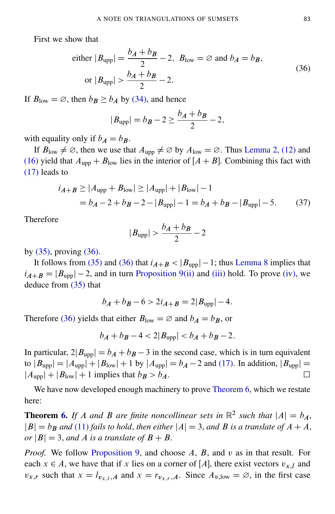First we show that

<span id="page-9-0"></span>either 
$$
|B_{\text{upp}}| = \frac{b_A + b_B}{2} - 2
$$
,  $B_{\text{low}} = \varnothing$  and  $b_A = b_B$ ,  
or  $|B_{\text{upp}}| > \frac{b_A + b_B}{2} - 2$ . (36)

If  $B_{\text{low}} = \emptyset$ , then  $b_B \ge b_A$  by [\(34\),](#page-8-3) and hence

$$
|B_{\text{upp}}| = b_B - 2 \ge \frac{b_A + b_B}{2} - 2,
$$

with equality only if  $b_A = b_B$ .

If  $B_{\text{low}} \neq \emptyset$ , then we use that  $A_{\text{upp}} \neq \emptyset$  by  $A_{\text{low}} = \emptyset$ . Thus [Lemma 2,](#page-3-2) [\(12\)](#page-5-2) and [\(16\)](#page-6-0) yield that  $A_{\text{upp}} + B_{\text{low}}$  lies in the interior of  $[A + B]$ . Combining this fact with [\(17\)](#page-6-3) leads to

$$
i_{A+B} \ge |A_{\text{upp}} + B_{\text{low}}| \ge |A_{\text{upp}}| + |B_{\text{low}}| - 1
$$
  
=  $b_A - 2 + b_B - 2 - |B_{\text{upp}}| - 1 = b_A + b_B - |B_{\text{upp}}| - 5.$  (37)

Therefore

$$
|B_{\text{upp}}| > \frac{b_A + b_B}{2} - 2
$$

by [\(35\),](#page-8-4) proving [\(36\).](#page-9-0)

It follows from [\(35\)](#page-8-4) and [\(36\)](#page-9-0) that  $i_{A+B} < |B_{upp}| - 1$ ; thus [Lemma 8](#page-6-6) implies that  $i_{A+B} = |B_{\text{upp}}| - 2$ , and in turn [Proposition 9](#page-8-0)[\(ii\)](#page-8-5) and [\(iii\)](#page-8-6) hold. To prove [\(iv\),](#page-8-7) we deduce from [\(35\)](#page-8-4) that

$$
b_A + b_B - 6 > 2i_{A+B} = 2|B_{\text{upp}}| - 4.
$$

Therefore [\(36\)](#page-9-0) yields that either  $B_{\text{low}} = \emptyset$  and  $b_A = b_B$ , or

 $b_A + b_B - 4 < 2|B_{\text{unn}}| < b_A + b_B - 2.$ 

In particular,  $2|B_{\text{upp}}| = b_A + b_B - 3$  in the second case, which is in turn equivalent to  $|B_{upp}| = |A_{upp}| + |B_{low}| + 1$  by  $|A_{upp}| = b_A - 2$  and [\(17\).](#page-6-3) In addition,  $|B_{upp}| =$  $|A_{\text{upp}}| + |B_{\text{low}}| + 1$  implies that  $b_B > b_A$ .

We have now developed enough machinery to prove [Theorem 6,](#page-5-1) which we restate here:

**Theorem [6.](#page-5-1)** If A and B are finite noncollinear sets in  $\mathbb{R}^2$  such that  $|A| = b_A$ ,  $|B| = b_B$  *and* [\(11\)](#page-5-0) *fails to hold, then either*  $|A| = 3$ *, and* B *is a translate of*  $A + A$ *, or*  $|B| = 3$ , *and A is a translate of*  $B + B$ .

*Proof.* We follow [Proposition 9,](#page-8-0) and choose A, B, and v as in that result. For each  $x \in A$ , we have that if x lies on a corner of [A], there exist vectors  $v_{x,l}$  and  $v_{x,r}$  such that  $x = l_{v_{x,l}}$ , and  $x = r_{v_{x,r}}$ , a. Since  $A_{v,low} = \emptyset$ , in the first case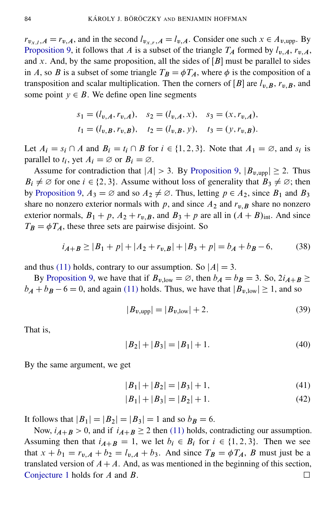$r_{v_{x,l}}$ ,  $A = r_{v,A}$ , and in the second  $l_{v_{x,r},A} = l_{v,A}$ . Consider one such  $x \in A_{v,\text{upp}}$ . By [Proposition 9,](#page-8-0) it follows that A is a subset of the triangle  $T_A$  formed by  $l_{v,A}$ ,  $r_{v,A}$ , and x. And, by the same proposition, all the sides of  $[B]$  must be parallel to sides in A, so B is a subset of some triangle  $T_B = \phi T_A$ , where  $\phi$  is the composition of a transposition and scalar multiplication. Then the corners of  $[B]$  are  $l_{v,B}$ ,  $r_{v,B}$ , and some point  $y \in B$ . We define open line segments

$$
s_1 = (l_{v,A}, r_{v,A}), \quad s_2 = (l_{v,A}, x), \quad s_3 = (x, r_{v,A}),
$$
  

$$
t_1 = (l_{v,B}, r_{v,B}), \quad t_2 = (l_{v,B}, y), \quad t_3 = (y, r_{v,B}).
$$

Let  $A_i = s_i \cap A$  and  $B_i = t_i \cap B$  for  $i \in \{1, 2, 3\}$ . Note that  $A_1 = \emptyset$ , and  $s_i$  is parallel to  $t_i$ , yet  $A_i = \emptyset$  or  $B_i = \emptyset$ .

Assume for contradiction that  $|A| > 3$ . By [Proposition 9,](#page-8-0)  $|B_{v,\text{upp}}| \ge 2$ . Thus  $B_i \neq \emptyset$  for one  $i \in \{2, 3\}$ . Assume without loss of generality that  $B_3 \neq \emptyset$ ; then by [Proposition 9,](#page-8-0)  $A_3 = \emptyset$  and so  $A_2 \neq \emptyset$ . Thus, letting  $p \in A_2$ , since  $B_1$  and  $B_3$ share no nonzero exterior normals with p, and since  $A_2$  and  $r_{v,B}$  share no nonzero exterior normals,  $B_1 + p$ ,  $A_2 + r_{v,B}$ , and  $B_3 + p$  are all in  $(A + B)_{int}$ . And since  $T_B = \phi T_A$ , these three sets are pairwise disjoint. So

$$
i_{A+B} \ge |B_1 + p| + |A_2 + r_{v,B}| + |B_3 + p| = b_A + b_B - 6,\tag{38}
$$

and thus [\(11\)](#page-5-0) holds, contrary to our assumption. So  $|A| = 3$ .

By [Proposition 9,](#page-8-0) we have that if  $B_{v,low} = \emptyset$ , then  $b_A = b_B = 3$ . So,  $2i_{A+B} \ge$  $b_A + b_B - 6 = 0$ , and again [\(11\)](#page-5-0) holds. Thus, we have that  $|B_{v,low}| \ge 1$ , and so

$$
|B_{v,\text{upp}}| = |B_{v,\text{low}}| + 2. \tag{39}
$$

That is,

$$
|B_2| + |B_3| = |B_1| + 1.
$$
\n(40)

By the same argument, we get

$$
|B_1| + |B_2| = |B_3| + 1,\t(41)
$$

$$
|B_1| + |B_3| = |B_2| + 1.
$$
 (42)

It follows that  $|B_1| = |B_2| = |B_3| = 1$  and so  $b_B = 6$ .

Now,  $i_{A+B} > 0$ , and if  $i_{A+B} \ge 2$  then [\(11\)](#page-5-0) holds, contradicting our assumption. Assuming then that  $i_{A+B} = 1$ , we let  $b_i \in B_i$  for  $i \in \{1, 2, 3\}$ . Then we see that  $x + b_1 = r_{v,A} + b_2 = l_{v,A} + b_3$ . And since  $T_B = \phi T_A$ , B must just be a translated version of  $A+A$ . And, as was mentioned in the beginning of this section, [Conjecture 1](#page-2-2) holds for A and B.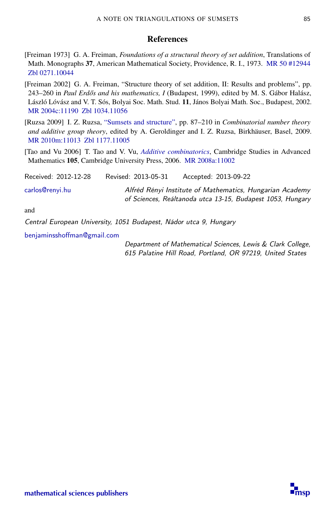#### **References**

- <span id="page-11-0"></span>[Freiman 1973] G. A. Freiman, *Foundations of a structural theory of set addition*, Translations of Math. Monographs 37, American Mathematical Society, Providence, R. I., 1973. [MR 50 #12944](http://msp.org/idx/mr/50:12944) [Zbl 0271.10044](http://msp.org/idx/zbl/0271.10044)
- <span id="page-11-1"></span>[Freiman 2002] G. A. Freiman, "Structure theory of set addition, II: Results and problems", pp. 243–260 in *Paul Erd˝os and his mathematics, I* (Budapest, 1999), edited by M. S. Gábor Halász, László Lóvász and V. T. Sós, Bolyai Soc. Math. Stud. 11, János Bolyai Math. Soc., Budapest, 2002. [MR 2004c:11190](http://msp.org/idx/mr/2004c:11190) [Zbl 1034.11056](http://msp.org/idx/zbl/1034.11056)
- <span id="page-11-2"></span>[Ruzsa 2009] I. Z. Ruzsa, ["Sumsets and structure",](http://dx.doi.org/10.1007/978-3-7643-8962-8) pp. 87–210 in *Combinatorial number theory and additive group theory*, edited by A. Geroldinger and I. Z. Ruzsa, Birkhäuser, Basel, 2009. [MR 2010m:11013](http://msp.org/idx/mr/2010m:11013) [Zbl 1177.11005](http://msp.org/idx/zbl/1177.11005)
- <span id="page-11-3"></span>[Tao and Vu 2006] T. Tao and V. Vu, *[Additive combinatorics](http://dx.doi.org/10.1017/CBO9780511755149)*, Cambridge Studies in Advanced Mathematics 105, Cambridge University Press, 2006. [MR 2008a:11002](http://msp.org/idx/mr/2008a:11002)

| Received: 2012-12-28 | Revised: 2013-05-31 | Accepted: 2013-09-22                                                                                                   |
|----------------------|---------------------|------------------------------------------------------------------------------------------------------------------------|
| carlos@renvi.hu      |                     | Alfréd Rényi Institute of Mathematics, Hungarian Academy<br>of Sciences, Reáltanoda utca 13-15, Budapest 1053, Hungary |

and

Central European University, 1051 Budapest, Nádor utca 9, Hungary

[benjaminsshoffman@gmail.com](mailto:benjaminsshoffman@gmail.com)

Department of Mathematical Sciences, Lewis & Clark College, 615 Palatine Hill Road, Portland, OR 97219, United States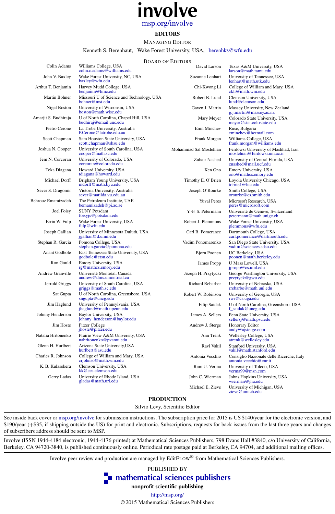# involve [msp.org/involve](http://msp.org/involve)

#### EDITORS

#### MANAGING EDITOR

Kenneth S. Berenhaut, Wake Forest University, USA, [berenhks@wfu.edu](mailto:berenhks@wfu.edu)

#### BOARD OF EDITORS

| Colin Adams          | Williams College, USA<br>colin.c.adams@williams.edu             | DUARD OF EDITORS<br>David Larson | Texas A&M University, USA<br>larson@math.tamu.edu                   |
|----------------------|-----------------------------------------------------------------|----------------------------------|---------------------------------------------------------------------|
| John V. Baxley       | Wake Forest University, NC, USA<br>baxley@wfu.edu               | Suzanne Lenhart                  | University of Tennessee, USA<br>lenhart@math.utk.edu                |
| Arthur T. Benjamin   | Harvey Mudd College, USA<br>benjamin@hmc.edu                    | Chi-Kwong Li                     | College of William and Mary, USA<br>ckli@math.wm.edu                |
| Martin Bohner        | Missouri U of Science and Technology, USA<br>bohner@mst.edu     | Robert B. Lund                   | Clemson University, USA<br>lund@clemson.edu                         |
| Nigel Boston         | University of Wisconsin, USA<br>boston@math.wisc.edu            | Gaven J. Martin                  | Massey University, New Zealand<br>g.j.martin@massey.ac.nz           |
| Amarjit S. Budhiraja | U of North Carolina, Chapel Hill, USA<br>budhiraj@email.unc.edu | Mary Meyer                       | Colorado State University, USA<br>meyer@stat.colostate.edu          |
| Pietro Cerone        | La Trobe University, Australia<br>P.Cerone@latrobe.edu.au       | Emil Minchev                     | Ruse, Bulgaria<br>eminchev@hotmail.com                              |
| Scott Chapman        | Sam Houston State University, USA<br>scott.chapman@shsu.edu     | Frank Morgan                     | Williams College, USA<br>frank.morgan@williams.edu                  |
| Joshua N. Cooper     | University of South Carolina, USA<br>cooper@math.sc.edu         | Mohammad Sal Moslehian           | Ferdowsi University of Mashhad, Iran<br>moslehian@ferdowsi.um.ac.ir |
| Jem N. Corcoran      | University of Colorado, USA<br>corcoran@colorado.edu            | Zuhair Nashed                    | University of Central Florida, USA<br>znashed@mail.ucf.edu          |
| Toka Diagana         | Howard University, USA<br>tdiagana@howard.edu                   | Ken Ono                          | Emory University, USA<br>ono@mathcs.emory.edu                       |
| Michael Dorff        | Brigham Young University, USA<br>mdorff@math.byu.edu            | Timothy E. O'Brien               | Loyola University Chicago, USA<br>tobriel@luc.edu                   |
| Sever S. Dragomir    | Victoria University, Australia<br>sever@matilda.vu.edu.au       | Joseph O'Rourke                  | Smith College, USA<br>orourke@cs.smith.edu                          |
| Behrouz Emamizadeh   | The Petroleum Institute, UAE<br>bemamizadeh@pi.ac.ae            | <b>Yuval Peres</b>               | Microsoft Research, USA<br>peres@microsoft.com                      |
| Joel Foisy           | <b>SUNY Potsdam</b><br>foisyjs@potsdam.edu                      | Y.-F. S. Pétermann               | Université de Genève, Switzerland<br>petermann@math.unige.ch        |
| Errin W. Fulp        | Wake Forest University, USA<br>fulp@wfu.edu                     | Robert J. Plemmons               | Wake Forest University, USA<br>plemmons@wfu.edu                     |
| Joseph Gallian       | University of Minnesota Duluth, USA<br>jgallian@d.umn.edu       | Carl B. Pomerance                | Dartmouth College, USA<br>carl.pomerance@dartmouth.edu              |
| Stephan R. Garcia    | Pomona College, USA<br>stephan.garcia@pomona.edu                | Vadim Ponomarenko                | San Diego State University, USA<br>vadim@sciences.sdsu.edu          |
| Anant Godbole        | East Tennessee State University, USA<br>godbole@etsu.edu        | <b>Bjorn Poonen</b>              | UC Berkeley, USA<br>poonen@math.berkeley.edu                        |
| Ron Gould            | Emory University, USA<br>rg@mathcs.emory.edu                    | James Propp                      | U Mass Lowell, USA<br>jpropp@cs.uml.edu                             |
| Andrew Granville     | Université Montréal, Canada<br>andrew@dms.umontreal.ca          | Józeph H. Przytycki              | George Washington University, USA<br>przytyck@gwu.edu               |
| Jerrold Griggs       | University of South Carolina, USA<br>griggs@math.sc.edu         | Richard Rebarber                 | University of Nebraska, USA<br>rrebarbe@math.unl.edu                |
| Sat Gupta            | U of North Carolina, Greensboro, USA<br>sngupta@uncg.edu        | Robert W. Robinson               | University of Georgia, USA<br>rwr@cs.uga.edu                        |
| Jim Haglund          | University of Pennsylvania, USA<br>jhaglund@math.upenn.edu      | Filip Saidak                     | U of North Carolina, Greensboro, USA<br>f_saidak@uncg.edu           |
| Johnny Henderson     | Baylor University, USA<br>johnny_henderson@baylor.edu           | James A. Sellers                 | Penn State University, USA<br>sellersj@math.psu.edu                 |
| Jim Hoste            | Pitzer College<br>jhoste@pitzer.edu                             | Andrew J. Sterge                 | Honorary Editor<br>andy@ajsterge.com                                |
| Natalia Hritonenko   | Prairie View A&M University, USA<br>nahritonenko@pvamu.edu      | Ann Trenk                        | Wellesley College, USA<br>atrenk@wellesley.edu                      |
| Glenn H. Hurlbert    | Arizona State University, USA<br>hurlbert@asu.edu               | Ravi Vakil                       | Stanford University, USA<br>vakil@math.stanford.edu                 |
| Charles R. Johnson   | College of William and Mary, USA<br>crjohnso@math.wm.edu        | Antonia Vecchio                  | Consiglio Nazionale delle Ricerche, Italy<br>antonia.vecchio@cnr.it |
| K. B. Kulasekera     | Clemson University, USA<br>kk@ces.clemson.edu                   | Ram U. Verma                     | University of Toledo, USA<br>verma99@msn.com                        |
| Gerry Ladas          | University of Rhode Island, USA<br>gladas@math.uri.edu          | John C. Wierman                  | Johns Hopkins University, USA<br>wierman@jhu.edu                    |
|                      |                                                                 | Michael E. Zieve                 | University of Michigan, USA<br>zieve@umich.edu                      |

#### PRODUCTION

Silvio Levy, Scientific Editor

See inside back cover or [msp.org/involve](http://msp.org/involve) for submission instructions. The subscription price for 2015 is US \$140/year for the electronic version, and \$190/year (+\$35, if shipping outside the US) for print and electronic. Subscriptions, requests for back issues from the last three years and changes of subscribers address should be sent to MSP.

Involve (ISSN 1944-4184 electronic, 1944-4176 printed) at Mathematical Sciences Publishers, 798 Evans Hall #3840, c/o University of California, Berkeley, CA 94720-3840, is published continuously online. Periodical rate postage paid at Berkeley, CA 94704, and additional mailing offices.

Involve peer review and production are managed by EditFLOW® from Mathematical Sciences Publishers.

PUBLISHED BY **n** [mathematical sciences publishers](http://msp.org/)

nonprofit scientific publishing

<http://msp.org/>

© 2015 Mathematical Sciences Publishers